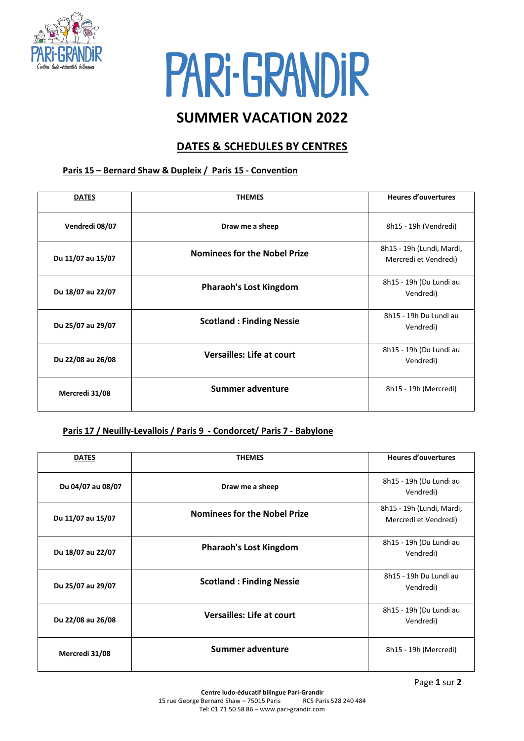

# PARI-GRANDIR

## **SUMMER VACATION 2022**

### **DATES & SCHEDULES BY CENTRES**

#### **Paris 15 – Bernard Shaw & Dupleix / Paris 15 - Convention**

| <b>DATES</b>      | <b>THEMES</b>                       | <b>Heures d'ouvertures</b>                         |
|-------------------|-------------------------------------|----------------------------------------------------|
| Vendredi 08/07    | Draw me a sheep                     | 8h15 - 19h (Vendredi)                              |
| Du 11/07 au 15/07 | <b>Nominees for the Nobel Prize</b> | 8h15 - 19h (Lundi, Mardi,<br>Mercredi et Vendredi) |
| Du 18/07 au 22/07 | <b>Pharaoh's Lost Kingdom</b>       | 8h15 - 19h (Du Lundi au<br>Vendredi)               |
| Du 25/07 au 29/07 | <b>Scotland: Finding Nessie</b>     | 8h15 - 19h Du Lundi au<br>Vendredi)                |
| Du 22/08 au 26/08 | <b>Versailles: Life at court</b>    | 8h15 - 19h (Du Lundi au<br>Vendredi)               |
| Mercredi 31/08    | Summer adventure                    | 8h15 - 19h (Mercredi)                              |

#### **Paris 17 / Neuilly-Levallois / Paris 9 - Condorcet/ Paris 7 - Babylone**

| <b>DATES</b>      | <b>THEMES</b>                       | <b>Heures d'ouvertures</b>                         |
|-------------------|-------------------------------------|----------------------------------------------------|
| Du 04/07 au 08/07 | Draw me a sheep                     | 8h15 - 19h (Du Lundi au<br>Vendredi)               |
| Du 11/07 au 15/07 | <b>Nominees for the Nobel Prize</b> | 8h15 - 19h (Lundi, Mardi,<br>Mercredi et Vendredi) |
| Du 18/07 au 22/07 | <b>Pharaoh's Lost Kingdom</b>       | 8h15 - 19h (Du Lundi au<br>Vendredi)               |
| Du 25/07 au 29/07 | <b>Scotland: Finding Nessie</b>     | 8h15 - 19h Du Lundi au<br>Vendredi)                |
| Du 22/08 au 26/08 | <b>Versailles: Life at court</b>    | 8h15 - 19h (Du Lundi au<br>Vendredi)               |
| Mercredi 31/08    | Summer adventure                    | 8h15 - 19h (Mercredi)                              |